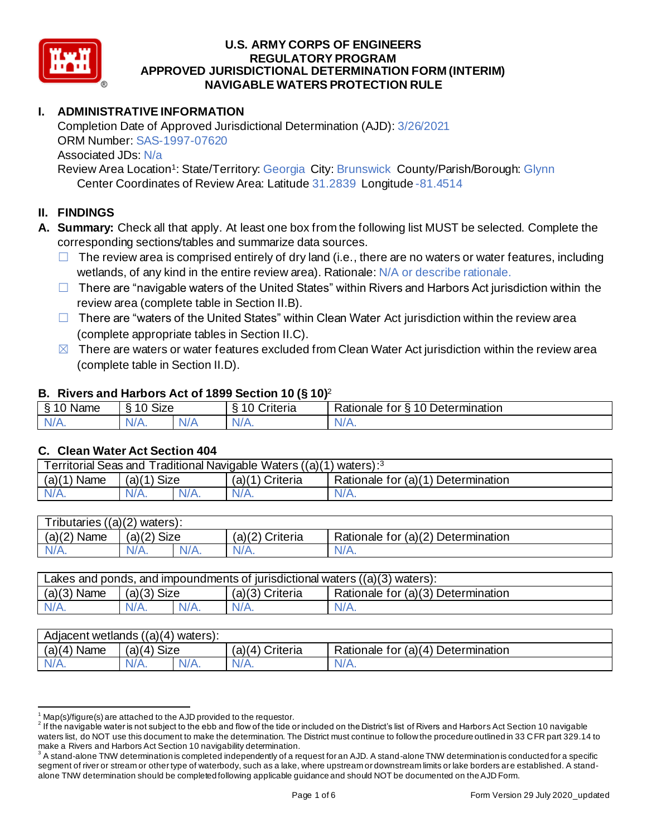

# **I. ADMINISTRATIVE INFORMATION**

Completion Date of Approved Jurisdictional Determination (AJD): 3/26/2021 ORM Number: SAS-1997-07620 Associated JDs: N/a

Review Area Location<sup>1</sup>: State/Territory: Georgia City: Brunswick County/Parish/Borough: Glynn Center Coordinates of Review Area: Latitude 31.2839 Longitude -81.4514

## **II. FINDINGS**

- **A. Summary:** Check all that apply. At least one box from the following list MUST be selected. Complete the corresponding sections/tables and summarize data sources.
	- $\Box$  The review area is comprised entirely of dry land (i.e., there are no waters or water features, including wetlands, of any kind in the entire review area). Rationale: N/A or describe rationale.
	- □ There are "navigable waters of the United States" within Rivers and Harbors Act jurisdiction within the review area (complete table in Section II.B).
	- $\Box$  There are "waters of the United States" within Clean Water Act jurisdiction within the review area (complete appropriate tables in Section II.C).
	- $\boxtimes$  There are waters or water features excluded from Clean Water Act jurisdiction within the review area (complete table in Section II.D).

### **B. Rivers and Harbors Act of 1899 Section 10 (§ 10)**<sup>2</sup>

|                                   |                                       |     | $\cdot$            |                                                       |
|-----------------------------------|---------------------------------------|-----|--------------------|-------------------------------------------------------|
| $\sim$ $\sim$<br><b>Name</b><br>◠ | $\sim$ $\sim$ $\sim$<br>$\sim$<br>ס∟כ |     | $\sim$<br>`riteria | 0 Deter<br>-<br>≺atıonale<br>tor<br>etermination<br>↷ |
| -ND<br>$\sim$ M/ $\ell$ As        | $\frac{1}{2}$<br>V/H.                 | N/r | ND.<br>11 / V      | N.<br>$\mathbf{v}$                                    |

### **C. Clean Water Act Section 404**

| $(a)(1)$ Size<br>$(a)(1)$ Criteria               | $\lq$ waters): <sup>3</sup>        | Territorial Seas and Traditional Navigable Waters ((a)(1) |                |  |  |
|--------------------------------------------------|------------------------------------|-----------------------------------------------------------|----------------|--|--|
|                                                  | Rationale for (a)(1) Determination |                                                           | (a)(1)<br>Name |  |  |
| $N/A$ .<br>$N/A$ .<br>$N/A$ .<br>$N/A$ .<br>N/A. |                                    |                                                           |                |  |  |

| Tributaries $((a)(2)$ waters): |                |         |                    |                                    |  |  |  |  |
|--------------------------------|----------------|---------|--------------------|------------------------------------|--|--|--|--|
| (a)(2)<br>Name                 | Size<br>(a)(2) |         | (a)(2)<br>Criteria | Rationale for (a)(2) Determination |  |  |  |  |
|                                | $N/A$ .        | $N/A$ . |                    | N/A.                               |  |  |  |  |
|                                |                |         |                    |                                    |  |  |  |  |

| Lakes and ponds, and impoundments of jurisdictional waters $((a)(3)$ waters): |               |         |                 |                                    |  |
|-------------------------------------------------------------------------------|---------------|---------|-----------------|------------------------------------|--|
| $(a)(3)$ Name                                                                 | $(a)(3)$ Size |         | (a)(3) Criteria | Rationale for (a)(3) Determination |  |
| $N/A$ .                                                                       | $N/A$ .       | $N/A$ . | $N/A$ .         | $N/A$ .                            |  |

| $(a)(4)$ Name<br>Size<br>$(a)(4)$ Criteria<br>Rationale for (a)(4) Determination<br>(4)<br>(a) | Adjacent wetlands ((a)(4) waters): |         |         |         |  |  |  |
|------------------------------------------------------------------------------------------------|------------------------------------|---------|---------|---------|--|--|--|
|                                                                                                |                                    |         |         |         |  |  |  |
| 'N/A.                                                                                          |                                    | $N/A$ . | $N/A$ . | $N/A$ . |  |  |  |

 $1$  Map(s)/figure(s) are attached to the AJD provided to the requestor.

 $^2$  If the navigable water is not subject to the ebb and flow of the tide or included on the District's list of Rivers and Harbors Act Section 10 navigable waters list, do NOT use this document to make the determination. The District must continue to follow the procedure outlined in 33 CFR part 329.14 to make a Rivers and Harbors Act Section 10 navigability determination.

 $^3$  A stand-alone TNW determination is completed independently of a request for an AJD. A stand-alone TNW determination is conducted for a specific segment of river or stream or other type of waterbody, such as a lake, where upstream or downstream limits or lake borders are established. A standalone TNW determination should be completed following applicable guidance and should NOT be documented on the AJD Form.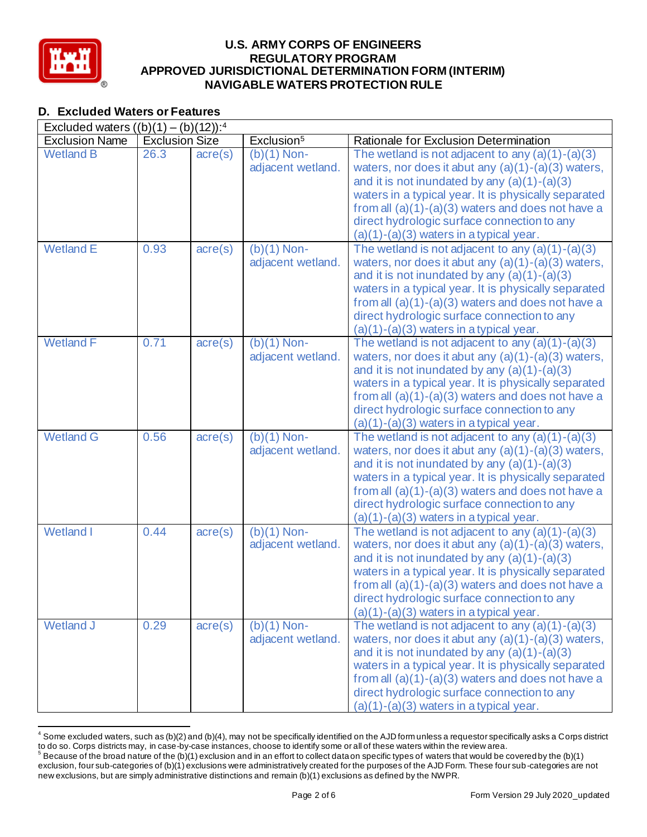

# **D. Excluded Waters or Features**

| <b>D. Excluded Waters or Features</b>               |                       |                  | <b>U.S. ARMY CORPS OF ENGINEERS</b><br><b>REGULATORY PROGRAM</b><br><b>NAVIGABLE WATERS PROTECTION RULE</b> | APPROVED JURISDICTIONAL DETERMINATION FORM (INTERIM)                                                                                                                                                                                                                                                                                                                    |
|-----------------------------------------------------|-----------------------|------------------|-------------------------------------------------------------------------------------------------------------|-------------------------------------------------------------------------------------------------------------------------------------------------------------------------------------------------------------------------------------------------------------------------------------------------------------------------------------------------------------------------|
| Excluded waters $((b)(1) - (b)(12))$ : <sup>4</sup> |                       |                  |                                                                                                             |                                                                                                                                                                                                                                                                                                                                                                         |
| <b>Exclusion Name</b>                               | <b>Exclusion Size</b> |                  | Exclusion <sup>5</sup>                                                                                      | Rationale for Exclusion Determination                                                                                                                                                                                                                                                                                                                                   |
| <b>Wetland B</b>                                    | 26.3                  | $\text{acre}(s)$ | $(b)(1)$ Non-<br>adjacent wetland.                                                                          | The wetland is not adjacent to any $(a)(1)-(a)(3)$<br>waters, nor does it abut any $(a)(1)-(a)(3)$ waters,<br>and it is not inundated by any $(a)(1)-(a)(3)$<br>waters in a typical year. It is physically separated<br>from all $(a)(1)-(a)(3)$ waters and does not have a<br>direct hydrologic surface connection to any<br>$(a)(1)-(a)(3)$ waters in a typical year. |
| <b>Wetland E</b>                                    | 0.93                  | $\text{acre}(s)$ | $(b)(1)$ Non-<br>adjacent wetland.                                                                          | The wetland is not adjacent to any $(a)(1)-(a)(3)$<br>waters, nor does it abut any $(a)(1)-(a)(3)$ waters,<br>and it is not inundated by any $(a)(1)-(a)(3)$<br>waters in a typical year. It is physically separated<br>from all $(a)(1)-(a)(3)$ waters and does not have a<br>direct hydrologic surface connection to any<br>$(a)(1)-(a)(3)$ waters in a typical year. |
| <b>Wetland F</b>                                    | 0.71                  | $\text{acre}(s)$ | $(b)(1)$ Non-<br>adjacent wetland.                                                                          | The wetland is not adjacent to any $(a)(1)-(a)(3)$<br>waters, nor does it abut any $(a)(1)-(a)(3)$ waters,<br>and it is not inundated by any $(a)(1)-(a)(3)$<br>waters in a typical year. It is physically separated<br>from all $(a)(1)-(a)(3)$ waters and does not have a<br>direct hydrologic surface connection to any<br>$(a)(1)-(a)(3)$ waters in a typical year. |
| <b>Wetland G</b>                                    | 0.56                  | $\text{acre}(s)$ | $(b)(1)$ Non-<br>adjacent wetland.                                                                          | The wetland is not adjacent to any $(a)(1)-(a)(3)$<br>waters, nor does it abut any $(a)(1)-(a)(3)$ waters,<br>and it is not inundated by any $(a)(1)-(a)(3)$<br>waters in a typical year. It is physically separated<br>from all $(a)(1)-(a)(3)$ waters and does not have a<br>direct hydrologic surface connection to any<br>$(a)(1)-(a)(3)$ waters in a typical year. |
| <b>Wetland I</b>                                    | 0.44                  | $\text{acre}(s)$ | $(b)(1)$ Non-<br>adjacent wetland.                                                                          | The wetland is not adjacent to any $(a)(1)-(a)(3)$<br>waters, nor does it abut any $(a)(1)-(a)(3)$ waters,<br>and it is not inundated by any $(a)(1)-(a)(3)$<br>waters in a typical year. It is physically separated<br>from all $(a)(1)-(a)(3)$ waters and does not have a<br>direct hydrologic surface connection to any<br>$(a)(1)-(a)(3)$ waters in a typical year. |
| <b>Wetland J</b>                                    | 0.29                  | $\text{acre}(s)$ | $(b)(1)$ Non-<br>adjacent wetland.                                                                          | The wetland is not adjacent to any $(a)(1)-(a)(3)$<br>waters, nor does it abut any (a)(1)-(a)(3) waters,<br>and it is not inundated by any $(a)(1)-(a)(3)$<br>waters in a typical year. It is physically separated<br>from all $(a)(1)-(a)(3)$ waters and does not have a<br>direct hydrologic surface connection to any<br>$(a)(1)-(a)(3)$ waters in a typical year.   |

<sup>&</sup>lt;sup>4</sup> Some excluded waters, such as (b)(2) and (b)(4), may not be specifically identified on the AJD form unless a requestor specifically asks a Corps district to do so. Corps districts may, in case-by-case instances, choose

 $5$  Because of the broad nature of the (b)(1) exclusion and in an effort to collect data on specific types of waters that would be covered by the (b)(1) exclusion, four sub-categories of (b)(1) exclusions were administratively created for the purposes of the AJD Form. These four sub-categories are not new exclusions, but are simply administrative distinctions and remain (b)(1) exclusions as defined by the NWPR.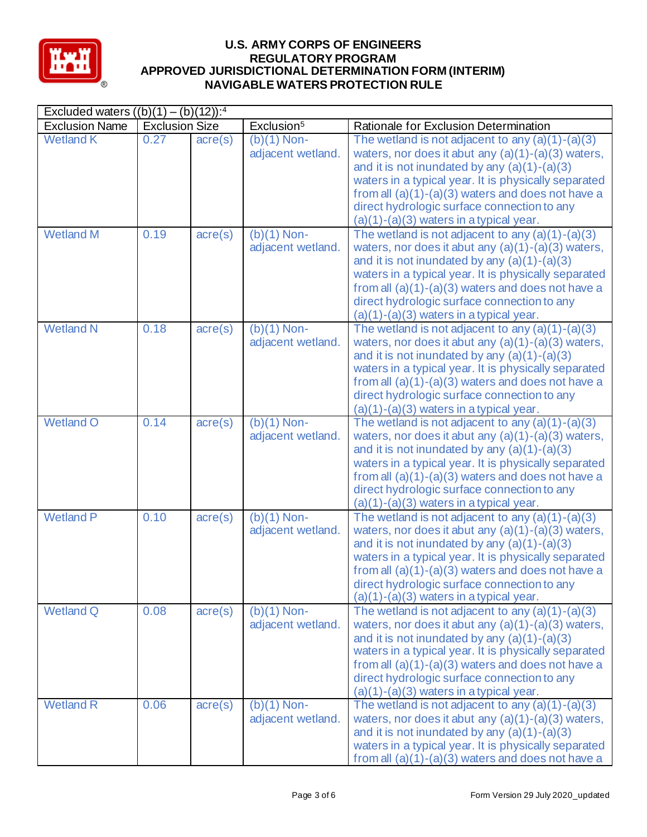

| Excluded waters $((b)(1) - (b)(12))$ : <sup>4</sup> |                       |                      |                                    |                                                                                                                                                                                                                                                                                                                                                                         |  |  |
|-----------------------------------------------------|-----------------------|----------------------|------------------------------------|-------------------------------------------------------------------------------------------------------------------------------------------------------------------------------------------------------------------------------------------------------------------------------------------------------------------------------------------------------------------------|--|--|
| <b>Exclusion Name</b>                               | <b>Exclusion Size</b> |                      | Exclusion <sup>5</sup>             | Rationale for Exclusion Determination                                                                                                                                                                                                                                                                                                                                   |  |  |
| <b>Wetland K</b>                                    | 0.27                  | $\text{acre}(s)$     | $(b)(1)$ Non-<br>adjacent wetland. | The wetland is not adjacent to any $(a)(1)-(a)(3)$<br>waters, nor does it abut any $(a)(1)-(a)(3)$ waters,<br>and it is not inundated by any $(a)(1)-(a)(3)$<br>waters in a typical year. It is physically separated<br>from all $(a)(1)-(a)(3)$ waters and does not have a<br>direct hydrologic surface connection to any<br>$(a)(1)-(a)(3)$ waters in a typical year. |  |  |
| <b>Wetland M</b>                                    | 0.19                  | $\text{acre}(s)$     | $(b)(1)$ Non-<br>adjacent wetland. | The wetland is not adjacent to any $(a)(1)-(a)(3)$<br>waters, nor does it abut any $(a)(1)-(a)(3)$ waters,<br>and it is not inundated by any $(a)(1)-(a)(3)$<br>waters in a typical year. It is physically separated<br>from all $(a)(1)-(a)(3)$ waters and does not have a<br>direct hydrologic surface connection to any<br>$(a)(1)-(a)(3)$ waters in a typical year. |  |  |
| <b>Wetland N</b>                                    | 0.18                  | $\text{acre}(s)$     | $(b)(1)$ Non-<br>adjacent wetland. | The wetland is not adjacent to any $(a)(1)-(a)(3)$<br>waters, nor does it abut any $(a)(1)-(a)(3)$ waters,<br>and it is not inundated by any $(a)(1)-(a)(3)$<br>waters in a typical year. It is physically separated<br>from all $(a)(1)-(a)(3)$ waters and does not have a<br>direct hydrologic surface connection to any<br>$(a)(1)-(a)(3)$ waters in a typical year. |  |  |
| <b>Wetland O</b>                                    | 0.14                  | $\overline{acre}(s)$ | $(b)(1)$ Non-<br>adjacent wetland. | The wetland is not adjacent to any $(a)(1)-(a)(3)$<br>waters, nor does it abut any $(a)(1)-(a)(3)$ waters,<br>and it is not inundated by any $(a)(1)-(a)(3)$<br>waters in a typical year. It is physically separated<br>from all $(a)(1)-(a)(3)$ waters and does not have a<br>direct hydrologic surface connection to any<br>$(a)(1)-(a)(3)$ waters in a typical year. |  |  |
| <b>Wetland P</b>                                    | 0.10                  | $\text{acre}(s)$     | $(b)(1)$ Non-<br>adjacent wetland. | The wetland is not adjacent to any $(a)(1)-(a)(3)$<br>waters, nor does it abut any $(a)(1)-(a)(3)$ waters,<br>and it is not inundated by any $(a)(1)-(a)(3)$<br>waters in a typical year. It is physically separated<br>from all $(a)(1)-(a)(3)$ waters and does not have a<br>direct hydrologic surface connection to any<br>$(a)(1)-(a)(3)$ waters in a typical year. |  |  |
| <b>Wetland Q</b>                                    | 0.08                  | $\text{acre}(s)$     | $(b)(1)$ Non-<br>adjacent wetland. | The wetland is not adjacent to any $(a)(1)-(a)(3)$<br>waters, nor does it abut any $(a)(1)-(a)(3)$ waters,<br>and it is not inundated by any $(a)(1)-(a)(3)$<br>waters in a typical year. It is physically separated<br>from all $(a)(1)-(a)(3)$ waters and does not have a<br>direct hydrologic surface connection to any<br>$(a)(1)-(a)(3)$ waters in a typical year. |  |  |
| <b>Wetland R</b>                                    | 0.06                  | $\text{acre}(s)$     | $(b)(1)$ Non-<br>adjacent wetland. | The wetland is not adjacent to any $(a)(1)-(a)(3)$<br>waters, nor does it abut any $(a)(1)-(a)(3)$ waters,<br>and it is not inundated by any $(a)(1)-(a)(3)$<br>waters in a typical year. It is physically separated<br>from all $(a)(1)-(a)(3)$ waters and does not have a                                                                                             |  |  |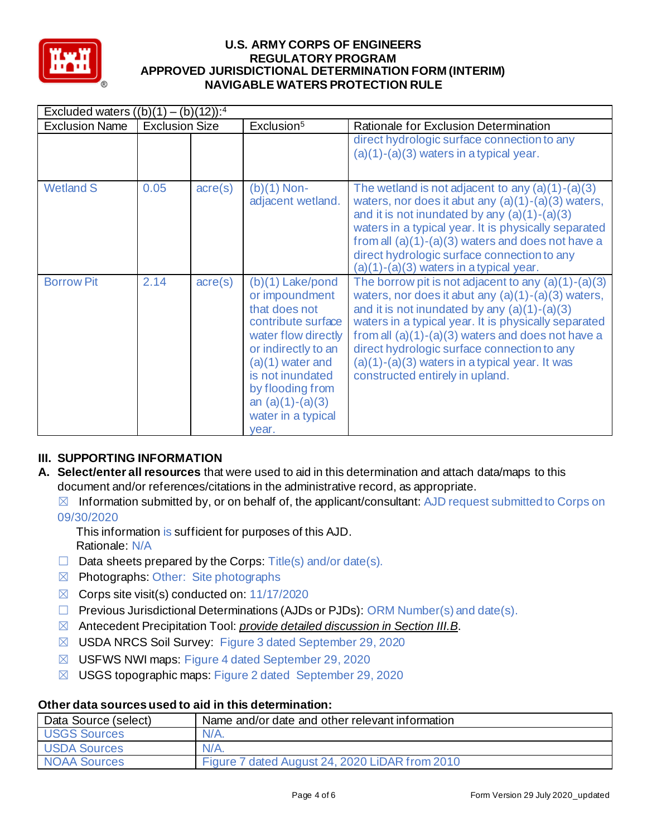

| Excluded waters $((b)(1) - (b)(12))$ : <sup>4</sup> |                       |                  |                                                                                                                                                                                                                                              |                                                                                                                                                                                                                                                                                                                                                                                                                      |
|-----------------------------------------------------|-----------------------|------------------|----------------------------------------------------------------------------------------------------------------------------------------------------------------------------------------------------------------------------------------------|----------------------------------------------------------------------------------------------------------------------------------------------------------------------------------------------------------------------------------------------------------------------------------------------------------------------------------------------------------------------------------------------------------------------|
| <b>Exclusion Name</b>                               | <b>Exclusion Size</b> |                  | Exclusion <sup>5</sup>                                                                                                                                                                                                                       | Rationale for Exclusion Determination                                                                                                                                                                                                                                                                                                                                                                                |
|                                                     |                       |                  |                                                                                                                                                                                                                                              | direct hydrologic surface connection to any<br>$(a)(1)-(a)(3)$ waters in a typical year.                                                                                                                                                                                                                                                                                                                             |
| <b>Wetland S</b>                                    | 0.05                  | $\text{acre}(s)$ | $(b)(1)$ Non-<br>adjacent wetland.                                                                                                                                                                                                           | The wetland is not adjacent to any $(a)(1)-(a)(3)$<br>waters, nor does it abut any $(a)(1)-(a)(3)$ waters,<br>and it is not inundated by any $(a)(1)-(a)(3)$<br>waters in a typical year. It is physically separated<br>from all $(a)(1)-(a)(3)$ waters and does not have a<br>direct hydrologic surface connection to any<br>$(a)(1)-(a)(3)$ waters in a typical year.                                              |
| <b>Borrow Pit</b>                                   | 2.14                  | $\text{acre}(s)$ | $(b)(1)$ Lake/pond<br>or impoundment<br>that does not<br>contribute surface<br>water flow directly<br>or indirectly to an<br>$(a)(1)$ water and<br>is not inundated<br>by flooding from<br>an $(a)(1)-(a)(3)$<br>water in a typical<br>vear. | The borrow pit is not adjacent to any $(a)(1)-(a)(3)$<br>waters, nor does it abut any $(a)(1)-(a)(3)$ waters,<br>and it is not inundated by any $(a)(1)-(a)(3)$<br>waters in a typical year. It is physically separated<br>from all $(a)(1)-(a)(3)$ waters and does not have a<br>direct hydrologic surface connection to any<br>$(a)(1)-(a)(3)$ waters in a typical year. It was<br>constructed entirely in upland. |

## **III. SUPPORTING INFORMATION**

- **A. Select/enter all resources** that were used to aid in this determination and attach data/maps to this document and/or references/citations in the administrative record, as appropriate.
	- $\boxtimes$  Information submitted by, or on behalf of, the applicant/consultant: AJD request submitted to Corps on 09/30/2020
		- This information is sufficient for purposes of this AJD. Rationale: N/A
	- $\Box$  Data sheets prepared by the Corps: Title(s) and/or date(s).
	- $\boxtimes$  Photographs: Other: Site photographs
	- $\boxtimes$  Corps site visit(s) conducted on: 11/17/2020
	- ☐ Previous Jurisdictional Determinations (AJDs or PJDs): ORM Number(s) and date(s).
	- ☒ Antecedent Precipitation Tool: *provide detailed discussion in Section III.B*.
	- ☒ USDA NRCS Soil Survey: Figure 3 dated September 29, 2020
	- ☒ USFWS NWI maps: Figure 4 dated September 29, 2020
	- ☒ USGS topographic maps: Figure 2 dated September 29, 2020

### **Other data sources used to aid in this determination:**

| Data Source (select) | Name and/or date and other relevant information |
|----------------------|-------------------------------------------------|
| <b>USGS Sources</b>  | $N/A$ .                                         |
| <b>USDA Sources</b>  | $N/A$ .                                         |
| <b>NOAA Sources</b>  | Figure 7 dated August 24, 2020 LiDAR from 2010  |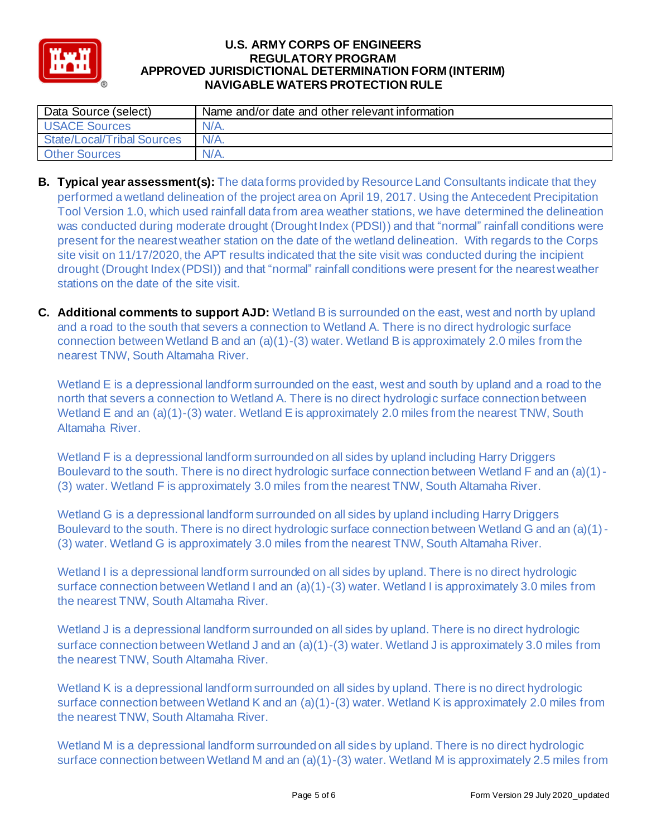

| Data Source (select)       | Name and/or date and other relevant information |
|----------------------------|-------------------------------------------------|
| <b>USACE Sources</b>       | $N/A$ .                                         |
| State/Local/Tribal Sources | $N/A$ .                                         |
| <b>Other Sources</b>       | $N/A$ .                                         |

- was conducted during moderate drought (Drought Index (PDSI)) and that "normal" rainfall conditions were drought (Drought Index (PDSI)) and that "normal" rainfall conditions were present for the nearest weather **B. Typical year assessment(s):** The data forms provided by Resource Land Consultants indicate that they performed a wetland delineation of the project area on April 19, 2017. Using the Antecedent Precipitation Tool Version 1.0, which used rainfall data from area weather stations, we have determined the delineation present for the nearest weather station on the date of the wetland delineation. With regards to the Corps site visit on 11/17/2020, the APT results indicated that the site visit was conducted during the incipient stations on the date of the site visit.
- **C. Additional comments to support AJD:** Wetland B is surrounded on the east, west and north by upland and a road to the south that severs a connection to Wetland A. There is no direct hydrologic surface connection between Wetland B and an  $(a)(1)-(3)$  water. Wetland B is approximately 2.0 miles from the nearest TNW, South Altamaha River.

Wetland E is a depressional landform surrounded on the east, west and south by upland and a road to the north that severs a connection to Wetland A. There is no direct hydrologic surface connection between Wetland E and an (a)(1)-(3) water. Wetland E is approximately 2.0 miles from the nearest TNW, South Altamaha River.

Wetland F is a depressional landform surrounded on all sides by upland including Harry Driggers Boulevard to the south. There is no direct hydrologic surface connection between Wetland F and an (a)(1) - (3) water. Wetland F is approximately 3.0 miles from the nearest TNW, South Altamaha River.

Wetland G is a depressional landform surrounded on all sides by upland including Harry Driggers Boulevard to the south. There is no direct hydrologic surface connection between Wetland G and an (a)(1) - (3) water. Wetland G is approximately 3.0 miles from the nearest TNW, South Altamaha River.

Wetland I is a depressional landform surrounded on all sides by upland. There is no direct hydrologic surface connection between Wetland I and an (a)(1)-(3) water. Wetland I is approximately 3.0 miles from the nearest TNW, South Altamaha River.

Wetland J is a depressional landform surrounded on all sides by upland. There is no direct hydrologic surface connection between Wetland J and an (a)(1)-(3) water. Wetland J is approximately 3.0 miles from the nearest TNW, South Altamaha River.

Wetland K is a depressional landform surrounded on all sides by upland. There is no direct hydrologic surface connection between Wetland K and an (a)(1)-(3) water. Wetland K is approximately 2.0 miles from the nearest TNW, South Altamaha River.

Wetland M is a depressional landform surrounded on all sides by upland. There is no direct hydrologic surface connection between Wetland M and an (a)(1)-(3) water. Wetland M is approximately 2.5 miles from